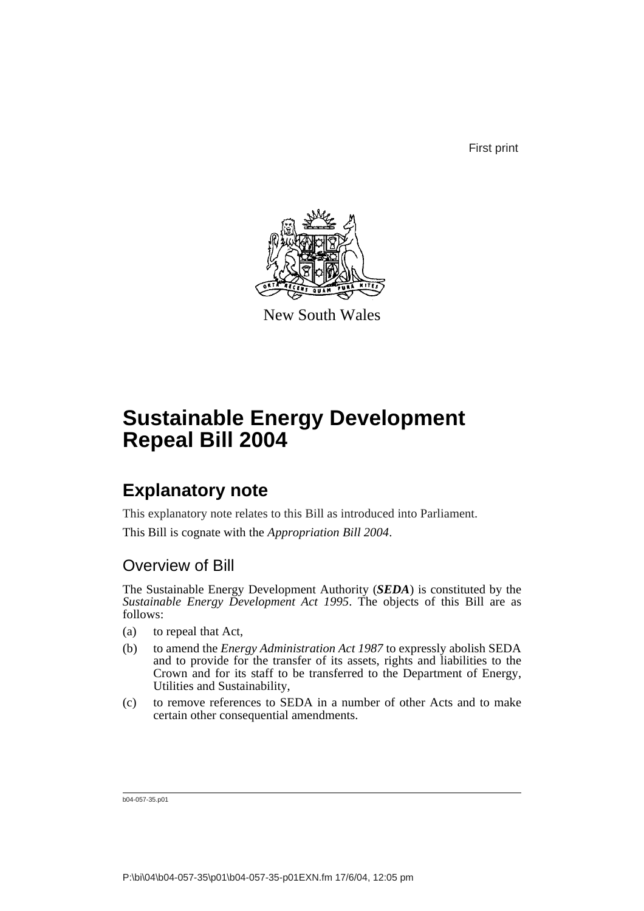First print



New South Wales

# **Sustainable Energy Development Repeal Bill 2004**

## **Explanatory note**

This explanatory note relates to this Bill as introduced into Parliament.

This Bill is cognate with the *Appropriation Bill 2004*.

#### Overview of Bill

The Sustainable Energy Development Authority (*SEDA*) is constituted by the *Sustainable Energy Development Act 1995*. The objects of this Bill are as follows:

- (a) to repeal that Act,
- (b) to amend the *Energy Administration Act 1987* to expressly abolish SEDA and to provide for the transfer of its assets, rights and liabilities to the Crown and for its staff to be transferred to the Department of Energy, Utilities and Sustainability,
- (c) to remove references to SEDA in a number of other Acts and to make certain other consequential amendments.

b04-057-35.p01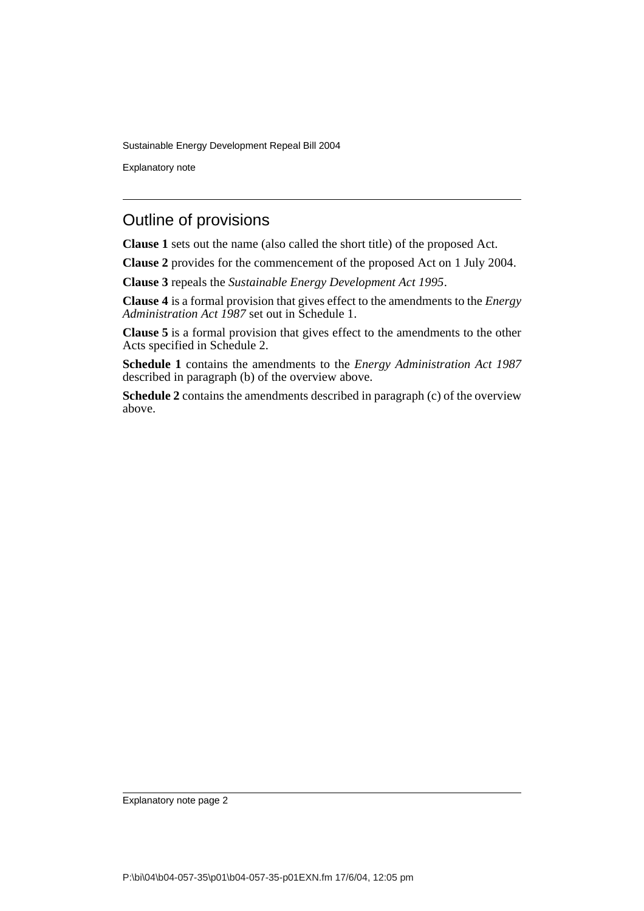Explanatory note

### Outline of provisions

**Clause 1** sets out the name (also called the short title) of the proposed Act.

**Clause 2** provides for the commencement of the proposed Act on 1 July 2004.

**Clause 3** repeals the *Sustainable Energy Development Act 1995*.

**Clause 4** is a formal provision that gives effect to the amendments to the *Energy Administration Act 1987* set out in Schedule 1.

**Clause 5** is a formal provision that gives effect to the amendments to the other Acts specified in Schedule 2.

**Schedule 1** contains the amendments to the *Energy Administration Act 1987* described in paragraph (b) of the overview above.

**Schedule 2** contains the amendments described in paragraph (c) of the overview above.

Explanatory note page 2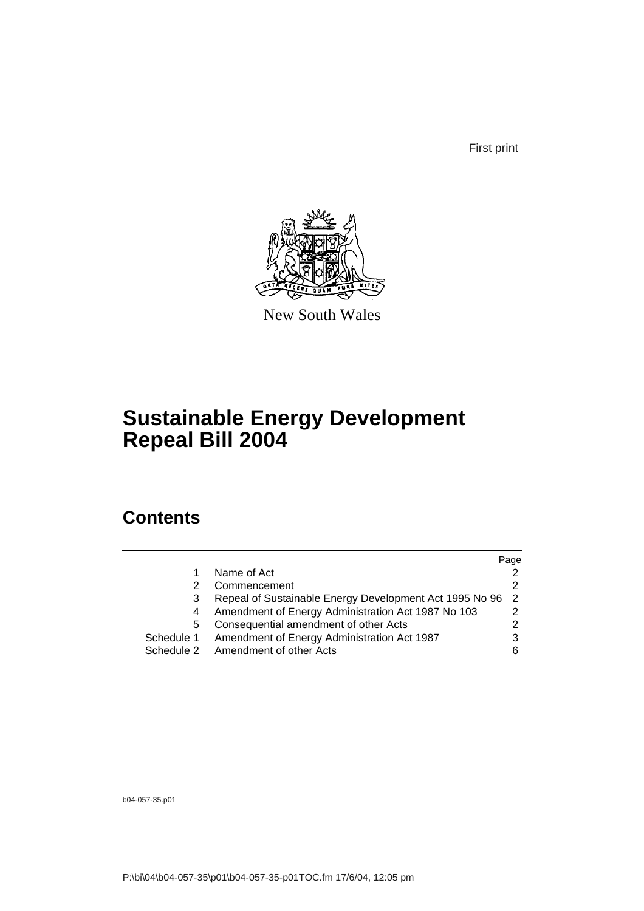First print



New South Wales

# **Sustainable Energy Development Repeal Bill 2004**

### **Contents**

|                                                         | Page           |
|---------------------------------------------------------|----------------|
| Name of Act                                             |                |
| Commencement                                            |                |
| Repeal of Sustainable Energy Development Act 1995 No 96 | $\overline{2}$ |
| Amendment of Energy Administration Act 1987 No 103      |                |
| Consequential amendment of other Acts                   |                |
| Amendment of Energy Administration Act 1987             |                |
| Schedule 2 Amendment of other Acts                      | 6              |
|                                                         |                |

b04-057-35.p01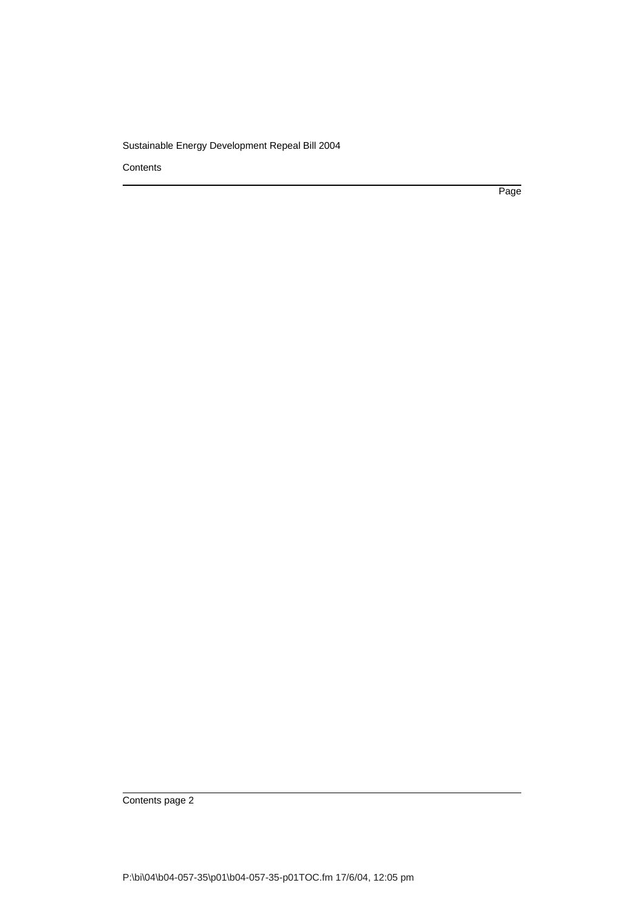**Contents** 

Page

Contents page 2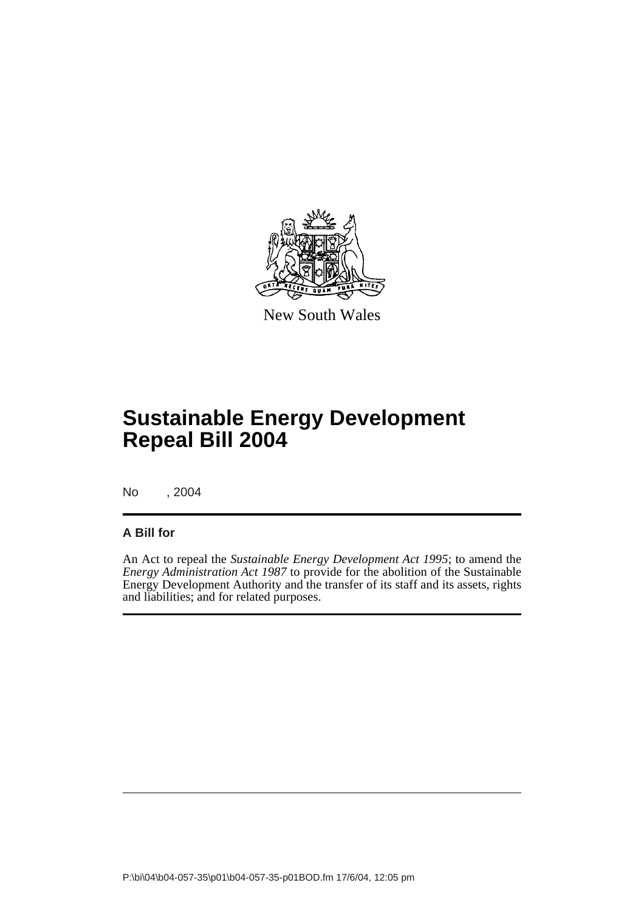

New South Wales

# **Sustainable Energy Development Repeal Bill 2004**

No , 2004

#### **A Bill for**

An Act to repeal the *Sustainable Energy Development Act 1995*; to amend the *Energy Administration Act 1987* to provide for the abolition of the Sustainable Energy Development Authority and the transfer of its staff and its assets, rights and liabilities; and for related purposes.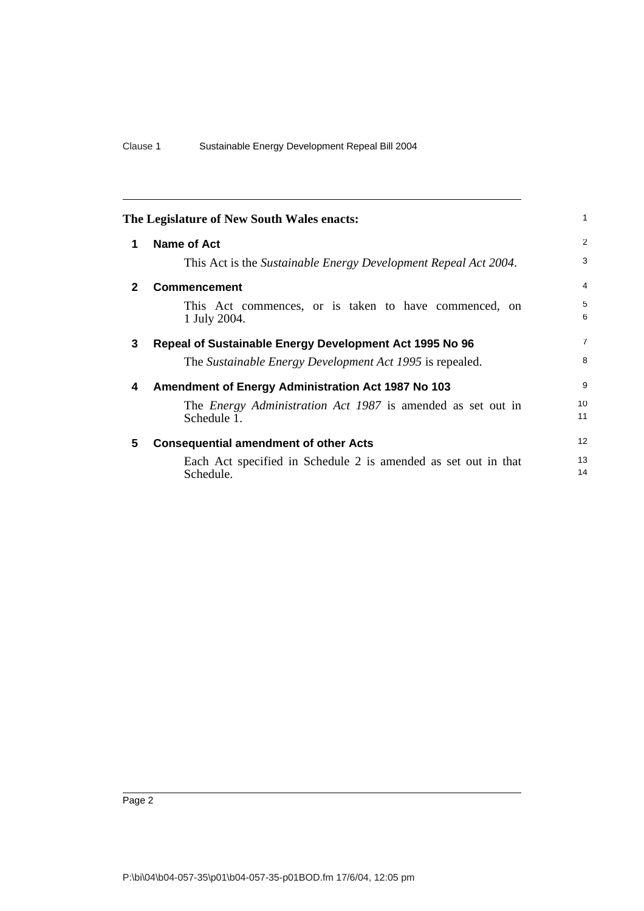<span id="page-5-4"></span><span id="page-5-3"></span><span id="page-5-2"></span><span id="page-5-1"></span><span id="page-5-0"></span>

| 1<br>The Legislature of New South Wales enacts: |                                                                             |                |  |  |
|-------------------------------------------------|-----------------------------------------------------------------------------|----------------|--|--|
| 1                                               | Name of Act                                                                 | 2              |  |  |
|                                                 | This Act is the Sustainable Energy Development Repeal Act 2004.             | 3              |  |  |
| 2                                               | <b>Commencement</b>                                                         | 4              |  |  |
|                                                 | This Act commences, or is taken to have commenced, on<br>1 July 2004.       | 5<br>6         |  |  |
| 3                                               | Repeal of Sustainable Energy Development Act 1995 No 96                     | $\overline{7}$ |  |  |
|                                                 | The Sustainable Energy Development Act 1995 is repealed.                    | 8              |  |  |
| 4                                               | Amendment of Energy Administration Act 1987 No 103                          | 9              |  |  |
|                                                 | The <i>Energy Administration Act 1987</i> is amended as set out in          | 10             |  |  |
|                                                 | Schedule 1.                                                                 | 11             |  |  |
| 5                                               | <b>Consequential amendment of other Acts</b>                                | 12             |  |  |
|                                                 | Each Act specified in Schedule 2 is amended as set out in that<br>Schedule. | 13<br>14       |  |  |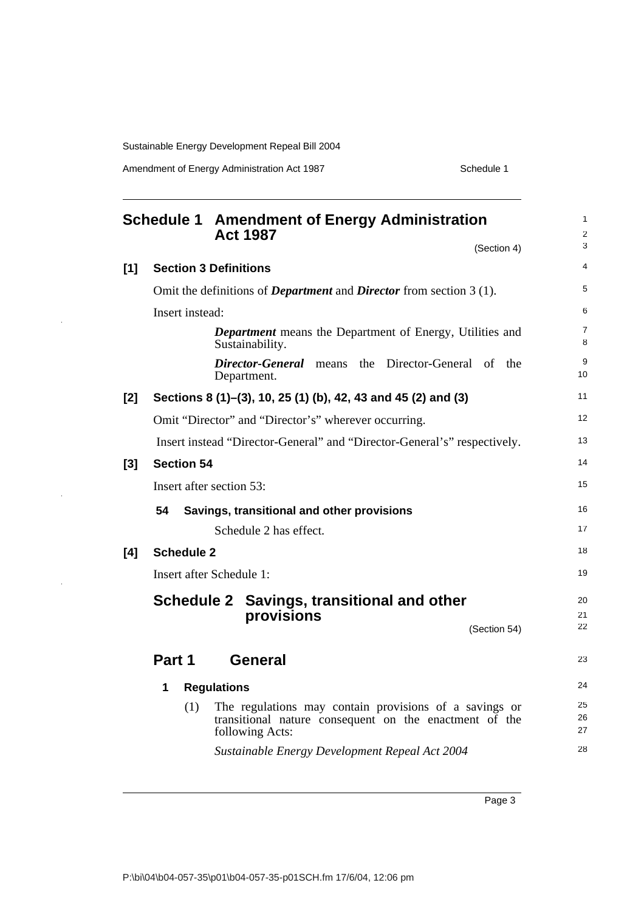Amendment of Energy Administration Act 1987 Material Contract Schedule 1

<span id="page-6-0"></span>

|       |                          | <b>Schedule 1 Amendment of Energy Administration</b><br><b>Act 1987</b>                                                             |                |  |  |
|-------|--------------------------|-------------------------------------------------------------------------------------------------------------------------------------|----------------|--|--|
|       |                          | (Section 4)                                                                                                                         | 3              |  |  |
| $[1]$ |                          | <b>Section 3 Definitions</b>                                                                                                        | $\overline{4}$ |  |  |
|       |                          | Omit the definitions of <i>Department</i> and <i>Director</i> from section $3(1)$ .                                                 | 5              |  |  |
|       | Insert instead:          |                                                                                                                                     | 6              |  |  |
|       |                          | <b>Department</b> means the Department of Energy, Utilities and<br>Sustainability.                                                  | 7<br>8         |  |  |
|       |                          | <b>Director-General</b> means the Director-General of the<br>Department.                                                            | 9<br>10        |  |  |
| [2]   |                          | Sections 8 (1)–(3), 10, 25 (1) (b), 42, 43 and 45 (2) and (3)                                                                       | 11             |  |  |
|       |                          | Omit "Director" and "Director's" wherever occurring.                                                                                | 12             |  |  |
|       |                          | Insert instead "Director-General" and "Director-General's" respectively.                                                            | 13             |  |  |
| [3]   | <b>Section 54</b>        |                                                                                                                                     | 14             |  |  |
|       |                          | Insert after section 53:                                                                                                            | 15             |  |  |
|       | 54                       | Savings, transitional and other provisions                                                                                          | 16             |  |  |
|       |                          | Schedule 2 has effect.                                                                                                              | 17             |  |  |
| [4]   | <b>Schedule 2</b>        |                                                                                                                                     | 18             |  |  |
|       | Insert after Schedule 1: |                                                                                                                                     |                |  |  |
|       |                          | Schedule 2 Savings, transitional and other<br>provisions<br>(Section 54)                                                            | 20<br>21<br>22 |  |  |
|       | Part 1                   | <b>General</b>                                                                                                                      | 23             |  |  |
|       | 1                        | <b>Regulations</b>                                                                                                                  | 24             |  |  |
|       | (1)                      | The regulations may contain provisions of a savings or<br>transitional nature consequent on the enactment of the<br>following Acts: | 25<br>26<br>27 |  |  |
|       |                          | Sustainable Energy Development Repeal Act 2004                                                                                      | 28             |  |  |

Page 3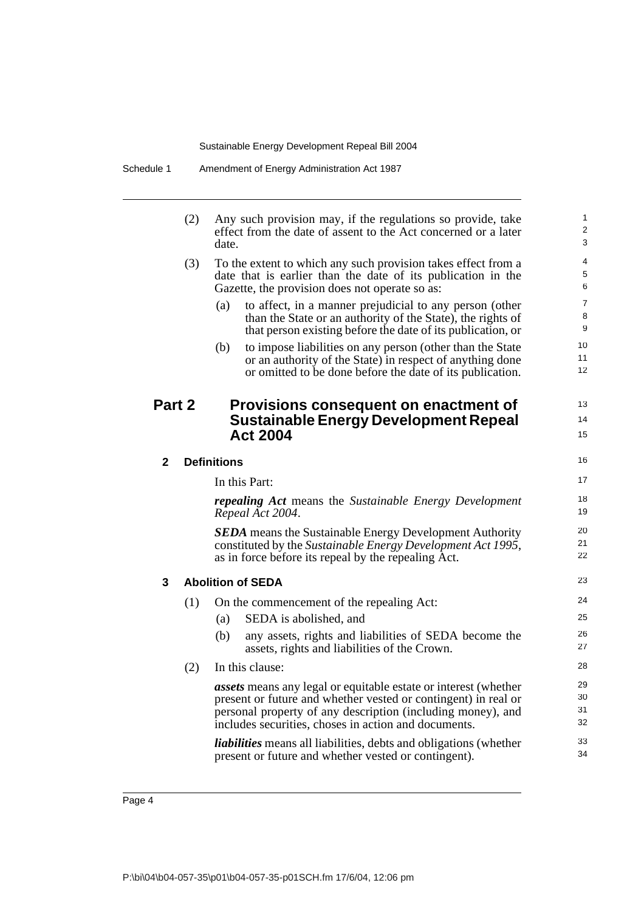|              | (2)<br>Any such provision may, if the regulations so provide, take<br>effect from the date of assent to the Act concerned or a later<br>date.                                          |                                                                                                                                                                                                                                                          |                      |
|--------------|----------------------------------------------------------------------------------------------------------------------------------------------------------------------------------------|----------------------------------------------------------------------------------------------------------------------------------------------------------------------------------------------------------------------------------------------------------|----------------------|
|              | (3)<br>To the extent to which any such provision takes effect from a<br>date that is earlier than the date of its publication in the<br>Gazette, the provision does not operate so as: |                                                                                                                                                                                                                                                          | 4<br>5<br>6          |
|              |                                                                                                                                                                                        | to affect, in a manner prejudicial to any person (other<br>(a)<br>than the State or an authority of the State), the rights of<br>that person existing before the date of its publication, or                                                             | 7<br>8<br>9          |
|              |                                                                                                                                                                                        | to impose liabilities on any person (other than the State<br>(b)<br>or an authority of the State) in respect of anything done<br>or omitted to be done before the date of its publication.                                                               | 10<br>11<br>12       |
| Part 2       |                                                                                                                                                                                        | Provisions consequent on enactment of<br><b>Sustainable Energy Development Repeal</b><br><b>Act 2004</b>                                                                                                                                                 | 13<br>14<br>15       |
| $\mathbf{2}$ |                                                                                                                                                                                        | <b>Definitions</b>                                                                                                                                                                                                                                       | 16                   |
|              |                                                                                                                                                                                        | In this Part:                                                                                                                                                                                                                                            | 17                   |
|              |                                                                                                                                                                                        | <b>repealing Act</b> means the Sustainable Energy Development<br>Repeal Act 2004.                                                                                                                                                                        | 18<br>19             |
|              |                                                                                                                                                                                        | <b>SEDA</b> means the Sustainable Energy Development Authority<br>constituted by the Sustainable Energy Development Act 1995,<br>as in force before its repeal by the repealing Act.                                                                     | 20<br>21<br>22       |
| 3            |                                                                                                                                                                                        | <b>Abolition of SEDA</b>                                                                                                                                                                                                                                 | 23                   |
|              | (1)                                                                                                                                                                                    | On the commencement of the repealing Act:                                                                                                                                                                                                                | 24                   |
|              |                                                                                                                                                                                        | SEDA is abolished, and<br>(a)                                                                                                                                                                                                                            | 25                   |
|              |                                                                                                                                                                                        | (b)<br>any assets, rights and liabilities of SEDA become the<br>assets, rights and liabilities of the Crown.                                                                                                                                             | 26<br>27             |
|              | (2)                                                                                                                                                                                    | In this clause:                                                                                                                                                                                                                                          | 28                   |
|              |                                                                                                                                                                                        | assets means any legal or equitable estate or interest (whether<br>present or future and whether vested or contingent) in real or<br>personal property of any description (including money), and<br>includes securities, choses in action and documents. | 29<br>30<br>31<br>32 |
|              |                                                                                                                                                                                        | <i>liabilities</i> means all liabilities, debts and obligations (whether<br>present or future and whether vested or contingent).                                                                                                                         | 33<br>34             |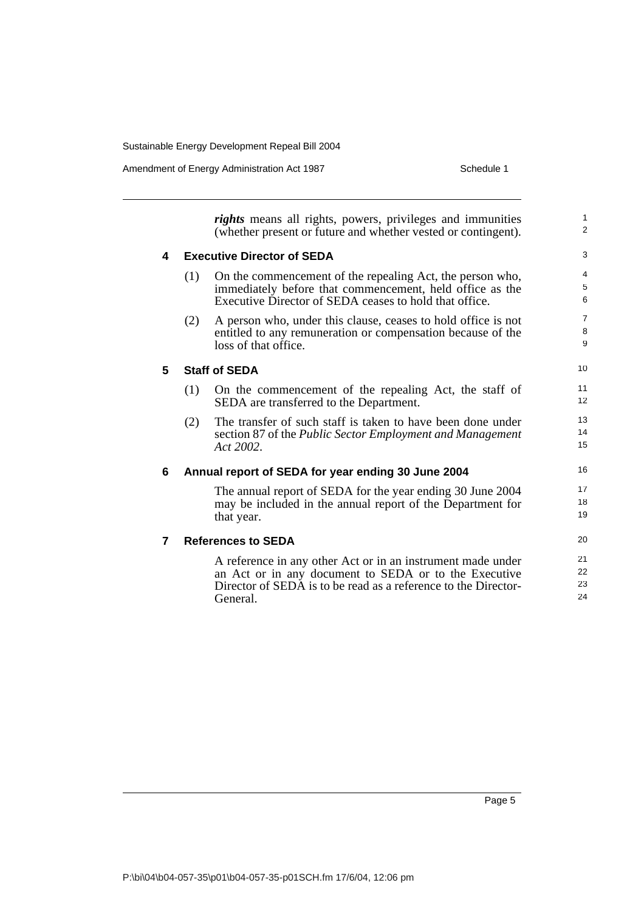|   |     | <i>rights</i> means all rights, powers, privileges and immunities<br>(whether present or future and whether vested or contingent).                                                                 | $\mathbf{1}$<br>2        |
|---|-----|----------------------------------------------------------------------------------------------------------------------------------------------------------------------------------------------------|--------------------------|
| 4 |     | <b>Executive Director of SEDA</b>                                                                                                                                                                  | 3                        |
|   | (1) | On the commencement of the repealing Act, the person who,<br>immediately before that commencement, held office as the<br>Executive Director of SEDA ceases to hold that office.                    | $\overline{4}$<br>5<br>6 |
|   | (2) | A person who, under this clause, ceases to hold office is not<br>entitled to any remuneration or compensation because of the<br>loss of that office.                                               | $\overline{7}$<br>8<br>9 |
| 5 |     | <b>Staff of SEDA</b>                                                                                                                                                                               | 10                       |
|   | (1) | On the commencement of the repealing Act, the staff of<br>SEDA are transferred to the Department.                                                                                                  | 11<br>12                 |
|   | (2) | The transfer of such staff is taken to have been done under<br>section 87 of the Public Sector Employment and Management<br>Act 2002.                                                              | 13<br>14<br>15           |
| 6 |     | Annual report of SEDA for year ending 30 June 2004                                                                                                                                                 | 16                       |
|   |     | The annual report of SEDA for the year ending 30 June 2004<br>may be included in the annual report of the Department for<br>that year.                                                             | 17<br>18<br>19           |
| 7 |     | <b>References to SEDA</b>                                                                                                                                                                          | 20                       |
|   |     | A reference in any other Act or in an instrument made under<br>an Act or in any document to SEDA or to the Executive<br>Director of SEDA is to be read as a reference to the Director-<br>General. | 21<br>22<br>23<br>24     |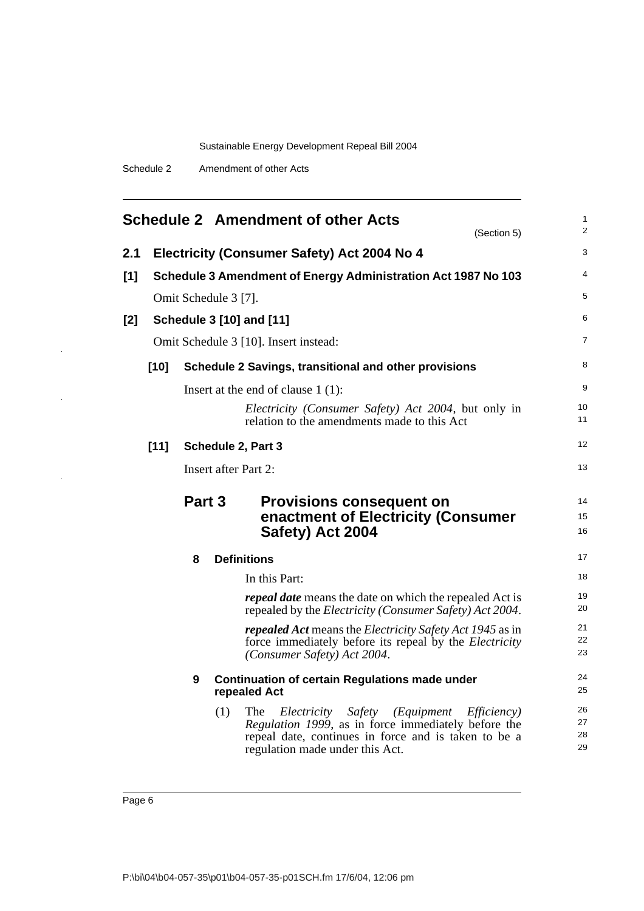<span id="page-9-0"></span>

| <b>Schedule 2 Amendment of other Acts</b><br>(Section 5) |                                       |                      |     |                                                                                                                                                                                                                                  | 1<br>$\overline{2}$  |
|----------------------------------------------------------|---------------------------------------|----------------------|-----|----------------------------------------------------------------------------------------------------------------------------------------------------------------------------------------------------------------------------------|----------------------|
| 2.1                                                      |                                       |                      |     | <b>Electricity (Consumer Safety) Act 2004 No 4</b>                                                                                                                                                                               | 3                    |
| [1]                                                      |                                       |                      |     | Schedule 3 Amendment of Energy Administration Act 1987 No 103                                                                                                                                                                    | 4                    |
|                                                          |                                       | Omit Schedule 3 [7]. |     |                                                                                                                                                                                                                                  | 5                    |
| [2]                                                      | <b>Schedule 3 [10] and [11]</b>       |                      |     | 6                                                                                                                                                                                                                                |                      |
|                                                          | Omit Schedule 3 [10]. Insert instead: |                      |     | 7                                                                                                                                                                                                                                |                      |
|                                                          | $[10]$                                |                      |     | Schedule 2 Savings, transitional and other provisions                                                                                                                                                                            | 8                    |
|                                                          |                                       |                      |     | Insert at the end of clause $1(1)$ :                                                                                                                                                                                             | 9                    |
|                                                          |                                       |                      |     | <i>Electricity (Consumer Safety) Act 2004, but only in</i><br>relation to the amendments made to this Act                                                                                                                        | 10<br>11             |
|                                                          | $[11]$                                |                      |     | Schedule 2, Part 3                                                                                                                                                                                                               | 12                   |
|                                                          |                                       |                      |     | <b>Insert after Part 2:</b>                                                                                                                                                                                                      | 13                   |
|                                                          |                                       | Part 3               |     | <b>Provisions consequent on</b><br>enactment of Electricity (Consumer<br>Safety) Act 2004                                                                                                                                        | 14<br>15<br>16       |
|                                                          |                                       | 8                    |     | <b>Definitions</b>                                                                                                                                                                                                               | 17                   |
|                                                          |                                       |                      |     | In this Part:                                                                                                                                                                                                                    | 18                   |
|                                                          |                                       |                      |     | <i>repeal date</i> means the date on which the repealed Act is<br>repealed by the <i>Electricity</i> ( <i>Consumer Safety</i> ) <i>Act 2004</i> .                                                                                | 19<br>20             |
|                                                          |                                       |                      |     | <i>repealed Act</i> means the <i>Electricity Safety Act 1945</i> as in<br>force immediately before its repeal by the Electricity<br>(Consumer Safety) Act 2004.                                                                  | 21<br>22<br>23       |
|                                                          |                                       | 9                    |     | <b>Continuation of certain Regulations made under</b><br>repealed Act                                                                                                                                                            | 24<br>25             |
|                                                          |                                       |                      | (1) | Electricity Safety<br><b>The</b><br><i>(Equipment</i> )<br><i>Efficiency</i> )<br>Regulation 1999, as in force immediately before the<br>repeal date, continues in force and is taken to be a<br>regulation made under this Act. | 26<br>27<br>28<br>29 |

 $\bar{z}$ 

 $\hat{\boldsymbol{\beta}}$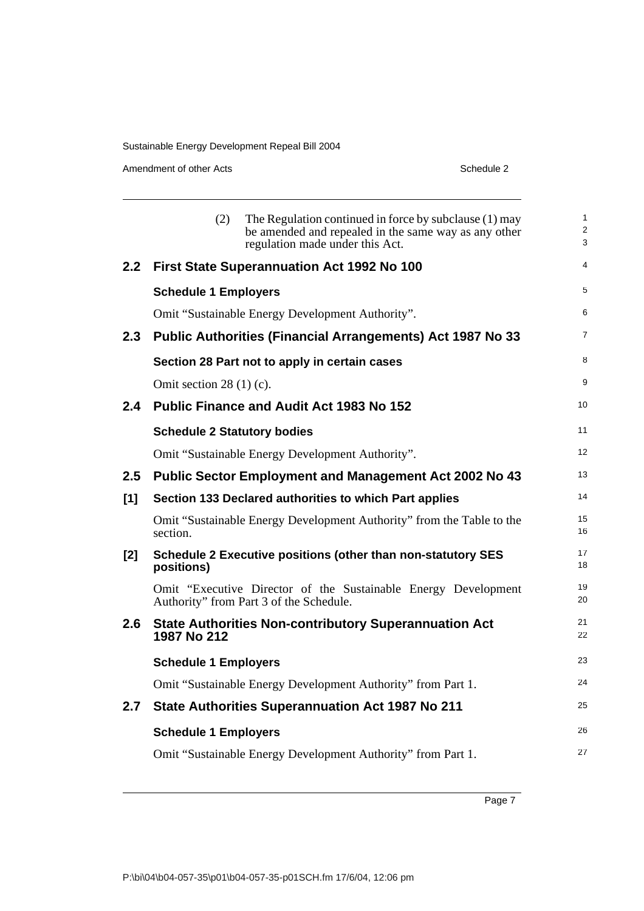Amendment of other Acts Schedule 2

|         | The Regulation continued in force by subclause (1) may<br>(2)<br>be amended and repealed in the same way as any other<br>regulation made under this Act. | $\mathbf{1}$<br>$\overline{2}$<br>3 |
|---------|----------------------------------------------------------------------------------------------------------------------------------------------------------|-------------------------------------|
| 2.2     | First State Superannuation Act 1992 No 100                                                                                                               | $\overline{4}$                      |
|         | <b>Schedule 1 Employers</b>                                                                                                                              | 5                                   |
|         | Omit "Sustainable Energy Development Authority".                                                                                                         | 6                                   |
| 2.3     | <b>Public Authorities (Financial Arrangements) Act 1987 No 33</b>                                                                                        | $\overline{7}$                      |
|         | Section 28 Part not to apply in certain cases                                                                                                            | 8                                   |
|         | Omit section $28(1)(c)$ .                                                                                                                                | 9                                   |
| 2.4     | Public Finance and Audit Act 1983 No 152                                                                                                                 | 10                                  |
|         | <b>Schedule 2 Statutory bodies</b>                                                                                                                       | 11                                  |
|         | Omit "Sustainable Energy Development Authority".                                                                                                         | 12 <sup>2</sup>                     |
| $2.5\,$ | <b>Public Sector Employment and Management Act 2002 No 43</b>                                                                                            | 13                                  |
| $[1]$   | Section 133 Declared authorities to which Part applies                                                                                                   | 14                                  |
|         | Omit "Sustainable Energy Development Authority" from the Table to the<br>section.                                                                        | 15<br>16                            |
| [2]     | Schedule 2 Executive positions (other than non-statutory SES<br>positions)                                                                               | 17<br>18                            |
|         | Omit "Executive Director of the Sustainable Energy Development<br>Authority" from Part 3 of the Schedule.                                                | 19<br>20                            |
| 2.6     | <b>State Authorities Non-contributory Superannuation Act</b><br>1987 No 212                                                                              | 21<br>22                            |
|         | <b>Schedule 1 Employers</b>                                                                                                                              | 23                                  |
|         | Omit "Sustainable Energy Development Authority" from Part 1.                                                                                             | 24                                  |
| 2.7     | <b>State Authorities Superannuation Act 1987 No 211</b>                                                                                                  | 25                                  |
|         | <b>Schedule 1 Employers</b>                                                                                                                              | 26                                  |
|         | Omit "Sustainable Energy Development Authority" from Part 1.                                                                                             | 27                                  |
|         |                                                                                                                                                          |                                     |

Page 7